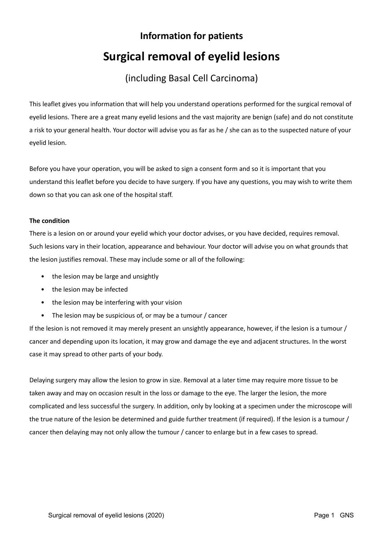# **Information for patients Surgical removal of eyelid lesions**

## (including Basal Cell Carcinoma)

This leaflet gives you information that will help you understand operations performed for the surgical removal of eyelid lesions. There are a great many eyelid lesions and the vast majority are benign (safe) and do not constitute a risk to your general health. Your doctor will advise you as far as he / she can as to the suspected nature of your eyelid lesion.

Before you have your operation, you will be asked to sign a consent form and so it is important that you understand this leaflet before you decide to have surgery. If you have any questions, you may wish to write them down so that you can ask one of the hospital staff.

### **The condition**

There is a lesion on or around your eyelid which your doctor advises, or you have decided, requires removal. Such lesions vary in their location, appearance and behaviour. Your doctor will advise you on what grounds that the lesion justifies removal. These may include some or all of the following:

- the lesion may be large and unsightly
- the lesion may be infected
- the lesion may be interfering with your vision
- The lesion may be suspicious of, or may be a tumour / cancer

If the lesion is not removed it may merely present an unsightly appearance, however, if the lesion is a tumour / cancer and depending upon its location, it may grow and damage the eye and adjacent structures. In the worst case it may spread to other parts of your body.

Delaying surgery may allow the lesion to grow in size. Removal at a later time may require more tissue to be taken away and may on occasion result in the loss or damage to the eye. The larger the lesion, the more complicated and less successful the surgery. In addition, only by looking at a specimen under the microscope will the true nature of the lesion be determined and guide further treatment (if required). If the lesion is a tumour / cancer then delaying may not only allow the tumour / cancer to enlarge but in a few cases to spread.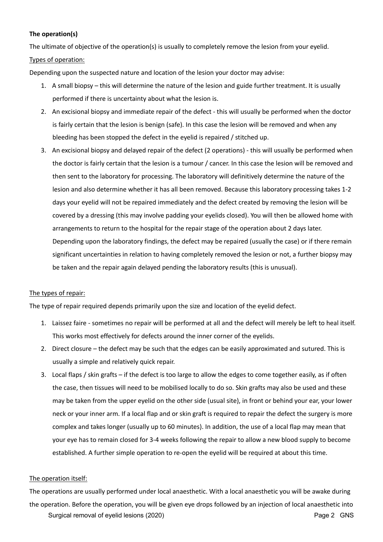#### **The operation(s)**

The ultimate of objective of the operation(s) is usually to completely remove the lesion from your eyelid. Types of operation:

Depending upon the suspected nature and location of the lesion your doctor may advise:

- 1. A small biopsy this will determine the nature of the lesion and guide further treatment. It is usually performed if there is uncertainty about what the lesion is.
- 2. An excisional biopsy and immediate repair of the defect this will usually be performed when the doctor is fairly certain that the lesion is benign (safe). In this case the lesion will be removed and when any bleeding has been stopped the defect in the eyelid is repaired / stitched up.
- 3. An excisional biopsy and delayed repair of the defect (2 operations) this will usually be performed when the doctor is fairly certain that the lesion is a tumour / cancer. In this case the lesion will be removed and then sent to the laboratory for processing. The laboratory will definitively determine the nature of the lesion and also determine whether it has all been removed. Because this laboratory processing takes 1-2 days your eyelid will not be repaired immediately and the defect created by removing the lesion will be covered by a dressing (this may involve padding your eyelids closed). You will then be allowed home with arrangements to return to the hospital for the repair stage of the operation about 2 days later. Depending upon the laboratory findings, the defect may be repaired (usually the case) or if there remain significant uncertainties in relation to having completely removed the lesion or not, a further biopsy may be taken and the repair again delayed pending the laboratory results (this is unusual).

#### The types of repair:

The type of repair required depends primarily upon the size and location of the eyelid defect.

- 1. Laissez faire sometimes no repair will be performed at all and the defect will merely be left to heal itself. This works most effectively for defects around the inner corner of the eyelids.
- 2. Direct closure the defect may be such that the edges can be easily approximated and sutured. This is usually a simple and relatively quick repair.
- 3. Local flaps / skin grafts if the defect is too large to allow the edges to come together easily, as if often the case, then tissues will need to be mobilised locally to do so. Skin grafts may also be used and these may be taken from the upper eyelid on the other side (usual site), in front or behind your ear, your lower neck or your inner arm. If a local flap and or skin graft is required to repair the defect the surgery is more complex and takes longer (usually up to 60 minutes). In addition, the use of a local flap may mean that your eye has to remain closed for 3-4 weeks following the repair to allow a new blood supply to become established. A further simple operation to re-open the eyelid will be required at about this time.

#### The operation itself:

Surgical removal of eyelid lesions (2020) **Page 2 GNS** The operations are usually performed under local anaesthetic. With a local anaesthetic you will be awake during the operation. Before the operation, you will be given eye drops followed by an injection of local anaesthetic into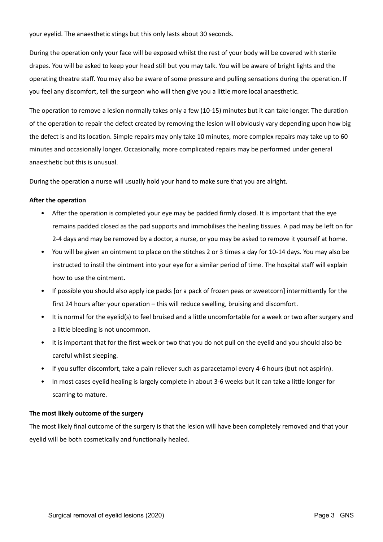your eyelid. The anaesthetic stings but this only lasts about 30 seconds.

During the operation only your face will be exposed whilst the rest of your body will be covered with sterile drapes. You will be asked to keep your head still but you may talk. You will be aware of bright lights and the operating theatre staff. You may also be aware of some pressure and pulling sensations during the operation. If you feel any discomfort, tell the surgeon who will then give you a little more local anaesthetic.

The operation to remove a lesion normally takes only a few (10-15) minutes but it can take longer. The duration of the operation to repair the defect created by removing the lesion will obviously vary depending upon how big the defect is and its location. Simple repairs may only take 10 minutes, more complex repairs may take up to 60 minutes and occasionally longer. Occasionally, more complicated repairs may be performed under general anaesthetic but this is unusual.

During the operation a nurse will usually hold your hand to make sure that you are alright.

#### **After the operation**

- After the operation is completed your eye may be padded firmly closed. It is important that the eye remains padded closed as the pad supports and immobilises the healing tissues. A pad may be left on for 2-4 days and may be removed by a doctor, a nurse, or you may be asked to remove it yourself at home.
- You will be given an ointment to place on the stitches 2 or 3 times a day for 10-14 days. You may also be instructed to instil the ointment into your eye for a similar period of time. The hospital staff will explain how to use the ointment.
- If possible you should also apply ice packs [or a pack of frozen peas or sweetcorn] intermittently for the first 24 hours after your operation – this will reduce swelling, bruising and discomfort.
- It is normal for the eyelid(s) to feel bruised and a little uncomfortable for a week or two after surgery and a little bleeding is not uncommon.
- It is important that for the first week or two that you do not pull on the eyelid and you should also be careful whilst sleeping.
- If you suffer discomfort, take a pain reliever such as paracetamol every 4-6 hours (but not aspirin).
- In most cases eyelid healing is largely complete in about 3-6 weeks but it can take a little longer for scarring to mature.

#### **The most likely outcome of the surgery**

The most likely final outcome of the surgery is that the lesion will have been completely removed and that your eyelid will be both cosmetically and functionally healed.